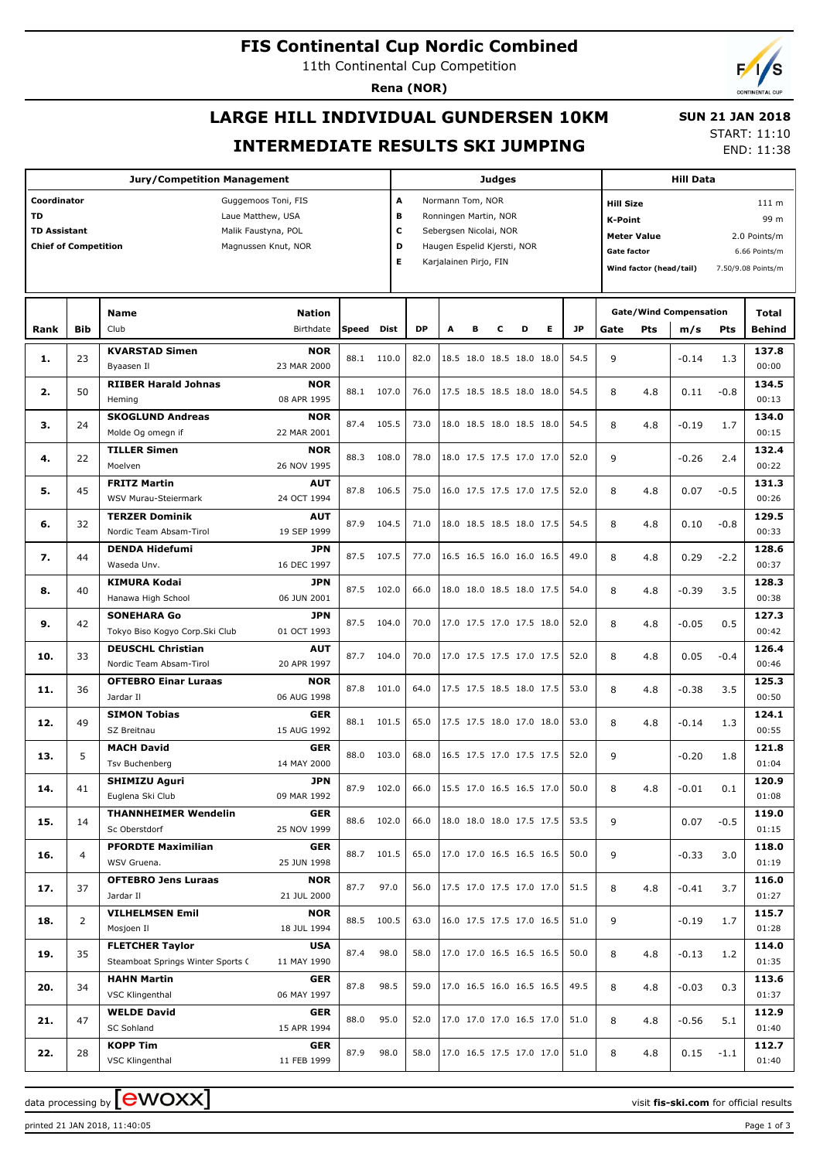### **FIS Continental Cup Nordic Combined**

11th Continental Cup Competition

**Rena (NOR)**

# **LARGE HILL INDIVIDUAL GUNDERSEN 10KM INTERMEDIATE RESULTS SKI JUMPING**

 **SUN 21 JAN 2018** START: 11:10

END: 11:38

| <b>Jury/Competition Management</b>                 |                    |                                   |               |       |            |           | Judges                           |   |                          |                                 |   |           |                                     | <b>Hill Data</b>                     |                               |            |                    |  |
|----------------------------------------------------|--------------------|-----------------------------------|---------------|-------|------------|-----------|----------------------------------|---|--------------------------|---------------------------------|---|-----------|-------------------------------------|--------------------------------------|-------------------------------|------------|--------------------|--|
| Coordinator<br>Guggemoos Toni, FIS                 |                    |                                   |               |       |            |           | Normann Tom, NOR<br>A            |   |                          |                                 |   |           |                                     | <b>Hill Size</b><br>111 <sub>m</sub> |                               |            |                    |  |
| TD<br>Laue Matthew, USA                            |                    |                                   |               |       |            |           | в<br>Ronningen Martin, NOR       |   |                          |                                 |   |           | <b>K-Point</b><br>99 m              |                                      |                               |            |                    |  |
| TD Assistant<br>Malik Faustyna, POL                |                    |                                   |               |       |            |           | с<br>Sebergsen Nicolai, NOR      |   |                          |                                 |   |           | <b>Meter Value</b><br>2.0 Points/m  |                                      |                               |            |                    |  |
| <b>Chief of Competition</b><br>Magnussen Knut, NOR |                    |                                   |               |       |            |           | D<br>Haugen Espelid Kjersti, NOR |   |                          |                                 |   |           | <b>Gate factor</b><br>6.66 Points/m |                                      |                               |            |                    |  |
|                                                    |                    |                                   |               |       |            | Е         | Karjalainen Pirjo, FIN           |   |                          |                                 |   |           |                                     | Wind factor (head/tail)              |                               |            | 7.50/9.08 Points/m |  |
|                                                    |                    |                                   |               |       |            |           |                                  |   |                          |                                 |   |           |                                     |                                      |                               |            |                    |  |
|                                                    |                    |                                   |               |       |            |           |                                  |   |                          |                                 |   |           |                                     |                                      |                               |            |                    |  |
|                                                    |                    | <b>Name</b>                       | <b>Nation</b> |       |            |           |                                  |   |                          |                                 |   |           |                                     |                                      | <b>Gate/Wind Compensation</b> |            | <b>Total</b>       |  |
| Rank                                               | <b>Bib</b>         | Club                              | Birthdate     | Speed | Dist       | <b>DP</b> | A                                | в | с                        | D                               | Е | <b>JP</b> | Gate                                | Pts                                  | m/s                           | <b>Pts</b> | Behind             |  |
|                                                    |                    | <b>KVARSTAD Simen</b>             | <b>NOR</b>    |       |            |           |                                  |   |                          |                                 |   |           |                                     |                                      |                               |            | 137.8              |  |
| 1.                                                 | 23                 | Byaasen Il                        | 23 MAR 2000   | 88.1  | 110.0      | 82.0      |                                  |   |                          | 18.5 18.0 18.5 18.0 18.0        |   | 54.5      | 9                                   |                                      | $-0.14$                       | 1.3        | 00:00              |  |
|                                                    |                    | <b>RIIBER Harald Johnas</b>       | <b>NOR</b>    |       |            |           |                                  |   |                          |                                 |   |           |                                     |                                      |                               |            | 134.5              |  |
| 2.                                                 | 50                 | Heming                            | 08 APR 1995   | 88.1  | 107.0      | 76.0      |                                  |   |                          | 17.5 18.5 18.5 18.0 18.0        |   | 54.5      | 8                                   | 4.8                                  | 0.11                          | $-0.8$     | 00:13              |  |
|                                                    |                    | <b>SKOGLUND Andreas</b>           | <b>NOR</b>    |       |            |           |                                  |   |                          |                                 |   |           |                                     |                                      |                               |            | 134.0              |  |
| 3.                                                 | 24                 | Molde Og omegn if                 | 22 MAR 2001   | 87.4  | 105.5      | 73.0      |                                  |   |                          | 18.0 18.5 18.0 18.5 18.0        |   | 54.5      | 8                                   | 4.8                                  | $-0.19$                       | 1.7        | 00:15              |  |
|                                                    |                    | <b>TILLER Simen</b>               | <b>NOR</b>    |       |            |           |                                  |   |                          |                                 |   |           |                                     |                                      |                               |            | 132.4              |  |
| 4.                                                 | 22                 | Moelven                           | 26 NOV 1995   | 88.3  | 108.0      | 78.0      |                                  |   |                          | 18.0 17.5 17.5 17.0 17.0        |   | 52.0      | 9                                   |                                      | $-0.26$                       | 2.4        | 00:22              |  |
|                                                    |                    | <b>FRITZ Martin</b>               | <b>AUT</b>    |       |            |           |                                  |   |                          |                                 |   |           |                                     |                                      |                               |            | 131.3              |  |
| 5.                                                 | 45                 | WSV Murau-Steiermark              | 24 OCT 1994   | 87.8  | 106.5      | 75.0      |                                  |   |                          | 16.0 17.5 17.5 17.0 17.5        |   | 52.0      | 8                                   | 4.8                                  | 0.07                          | $-0.5$     | 00:26              |  |
|                                                    |                    | <b>TERZER Dominik</b>             | <b>AUT</b>    |       |            |           |                                  |   |                          |                                 |   |           |                                     |                                      |                               |            | 129.5              |  |
| 6.                                                 | 32                 | Nordic Team Absam-Tirol           | 19 SEP 1999   | 87.9  | 104.5      | 71.0      |                                  |   |                          | 18.0 18.5 18.5 18.0 17.5        |   | 54.5      | 8                                   | 4.8                                  | 0.10                          | $-0.8$     | 00:33              |  |
|                                                    |                    | <b>DENDA Hidefumi</b>             | JPN           |       |            |           |                                  |   |                          |                                 |   |           |                                     |                                      |                               |            | 128.6              |  |
| 7.                                                 | 44                 | Waseda Unv.                       | 16 DEC 1997   | 87.5  | 107.5      | 77.0      |                                  |   |                          | 16.5 16.5 16.0 16.0 16.5        |   | 49.0      | 8                                   | 4.8                                  | 0.29                          | $-2.2$     | 00:37              |  |
|                                                    |                    | <b>KIMURA Kodai</b>               | JPN           |       |            |           |                                  |   |                          |                                 |   |           |                                     |                                      |                               |            | 128.3              |  |
| 8.                                                 | 40                 | Hanawa High School                | 06 JUN 2001   | 87.5  | 102.0      | 66.0      |                                  |   |                          | 18.0 18.0 18.5 18.0 17.5        |   | 54.0      | 8                                   | 4.8                                  | $-0.39$                       | 3.5        | 00:38              |  |
|                                                    | <b>SONEHARA Go</b> |                                   | JPN           |       |            |           |                                  |   |                          |                                 |   |           |                                     |                                      |                               |            | 127.3              |  |
| 9.                                                 | 42                 | Tokyo Biso Kogyo Corp.Ski Club    | 01 OCT 1993   | 87.5  | 104.0      | 70.0      |                                  |   |                          | 17.0 17.5 17.0 17.5 18.0        |   | 52.0      | 8                                   | 4.8                                  | $-0.05$                       | 0.5        | 00:42              |  |
|                                                    |                    | <b>DEUSCHL Christian</b>          | <b>AUT</b>    |       | 104.0      |           |                                  |   |                          |                                 |   |           |                                     |                                      |                               |            | 126.4              |  |
| 10.                                                | 33                 | Nordic Team Absam-Tirol           | 20 APR 1997   | 87.7  |            | 70.0      |                                  |   |                          | 17.0 17.5 17.5 17.0 17.5        |   | 52.0      | 8                                   | 4.8                                  | 0.05                          | $-0.4$     | 00:46              |  |
|                                                    |                    | <b>OFTEBRO Einar Luraas</b>       | <b>NOR</b>    |       |            |           |                                  |   |                          |                                 |   |           |                                     |                                      |                               |            | 125.3              |  |
| 11.                                                | 36                 | Jardar II                         | 06 AUG 1998   | 87.8  | 101.0      | 64.0      |                                  |   |                          | 17.5 17.5 18.5 18.0 17.5        |   | 53.0      | 8                                   | 4.8                                  | $-0.38$                       | 3.5        | 00:50              |  |
|                                                    |                    | <b>SIMON Tobias</b>               | <b>GER</b>    |       |            |           |                                  |   |                          |                                 |   |           |                                     |                                      |                               |            | 124.1              |  |
| 12.                                                | 49                 | SZ Breitnau                       | 15 AUG 1992   | 88.1  | 101.5      | 65.0      |                                  |   |                          | 17.5 17.5 18.0 17.0 18.0        |   | 53.0      | 8                                   | 4.8                                  | $-0.14$                       | 1.3        | 00:55              |  |
|                                                    |                    | <b>MACH David</b>                 | <b>GER</b>    |       |            |           |                                  |   |                          |                                 |   |           |                                     |                                      |                               |            | 121.8              |  |
| 13.                                                | 5                  | <b>Tsv Buchenberg</b>             | 14 MAY 2000   | 88.0  | 103.0      | 68.0      |                                  |   |                          | 16.5 17.5 17.0 17.5 17.5        |   | 52.0      | 9                                   |                                      | $-0.20$                       | 1.8        | 01:04              |  |
|                                                    |                    | <b>SHIMIZU Aguri</b>              | <b>JPN</b>    |       |            |           |                                  |   |                          |                                 |   |           |                                     |                                      |                               |            | 120.9              |  |
| 14.                                                | 41                 | Euglena Ski Club                  | 09 MAR 1992   |       | 87.9 102.0 |           |                                  |   |                          | 66.0 15.5 17.0 16.5 16.5 17.0   |   | 50.0      | 8                                   | 4.8                                  | $-0.01$                       | 0.1        | 01:08              |  |
|                                                    |                    | <b>THANNHEIMER Wendelin</b>       | <b>GER</b>    |       |            |           |                                  |   |                          |                                 |   |           |                                     |                                      |                               |            | 119.0              |  |
| 15.                                                | 14                 | Sc Oberstdorf                     | 25 NOV 1999   |       | 88.6 102.0 |           |                                  |   |                          | 66.0   18.0 18.0 18.0 17.5 17.5 |   | 53.5      | 9                                   |                                      | 0.07                          | $-0.5$     | 01:15              |  |
|                                                    |                    | <b>PFORDTE Maximilian</b>         | <b>GER</b>    |       |            |           |                                  |   |                          |                                 |   |           |                                     |                                      |                               |            | 118.0              |  |
| 16.                                                | $\overline{4}$     | WSV Gruena.                       | 25 JUN 1998   |       | 88.7 101.5 | 65.0      |                                  |   |                          | 17.0 17.0 16.5 16.5 16.5        |   | 50.0      | 9                                   |                                      | $-0.33$                       | 3.0        | 01:19              |  |
|                                                    |                    | <b>OFTEBRO Jens Luraas</b>        | NOR           |       |            |           |                                  |   |                          |                                 |   |           |                                     |                                      |                               |            | 116.0              |  |
| 17.                                                | 37                 | Jardar II                         | 21 JUL 2000   | 87.7  | 97.0       |           |                                  |   |                          | 56.0   17.5 17.0 17.5 17.0 17.0 |   | 51.5      | 8                                   | 4.8                                  | $-0.41$                       | 3.7        | 01:27              |  |
|                                                    |                    | <b>VILHELMSEN Emil</b>            | <b>NOR</b>    |       |            |           |                                  |   |                          |                                 |   |           |                                     |                                      |                               |            | 115.7              |  |
| 18.                                                | $\overline{2}$     | Mosjoen Il                        | 18 JUL 1994   | 88.5  | 100.5      | 63.0      |                                  |   |                          | 16.0 17.5 17.5 17.0 16.5        |   | 51.0      | 9                                   |                                      | $-0.19$                       | 1.7        | 01:28              |  |
|                                                    |                    | <b>FLETCHER Taylor</b>            | <b>USA</b>    |       |            |           |                                  |   |                          |                                 |   |           |                                     |                                      |                               |            | 114.0              |  |
| 19.                                                | 35                 | Steamboat Springs Winter Sports ( | 11 MAY 1990   | 87.4  | 98.0       | 58.0      |                                  |   |                          | 17.0 17.0 16.5 16.5 16.5        |   | 50.0      | 8                                   | 4.8                                  | $-0.13$                       | 1.2        | 01:35              |  |
|                                                    |                    | <b>HAHN Martin</b>                | <b>GER</b>    |       |            |           |                                  |   |                          |                                 |   |           |                                     |                                      |                               |            | 113.6              |  |
| 20.                                                | 34                 | VSC Klingenthal                   | 06 MAY 1997   | 87.8  | 98.5       | 59.0      |                                  |   | 17.0 16.5 16.0 16.5 16.5 |                                 |   | 49.5      | 8                                   | 4.8                                  | $-0.03$                       | 0.3        | 01:37              |  |
|                                                    |                    | <b>WELDE David</b>                | <b>GER</b>    |       |            |           |                                  |   |                          |                                 |   |           |                                     |                                      |                               |            | 112.9              |  |
| 21.                                                | 47                 | SC Sohland                        | 15 APR 1994   | 88.0  | 95.0       | 52.0      |                                  |   |                          | 17.0 17.0 17.0 16.5 17.0        |   | 51.0      | 8                                   | 4.8                                  | $-0.56$                       | 5.1        | 01:40              |  |
|                                                    |                    | <b>KOPP Tim</b>                   | <b>GER</b>    |       |            |           |                                  |   |                          |                                 |   |           |                                     |                                      |                               |            | 112.7              |  |
| 22.                                                | 28                 | VSC Klingenthal                   | 11 FEB 1999   | 87.9  | 98.0       |           |                                  |   |                          | 58.0   17.0 16.5 17.5 17.0 17.0 |   | 51.0      | 8                                   | 4.8                                  | 0.15                          | $-1.1$     | 01:40              |  |
|                                                    |                    |                                   |               |       |            |           |                                  |   |                          |                                 |   |           |                                     |                                      |                               |            |                    |  |

data processing by  $\boxed{\text{ewOX}}$ 

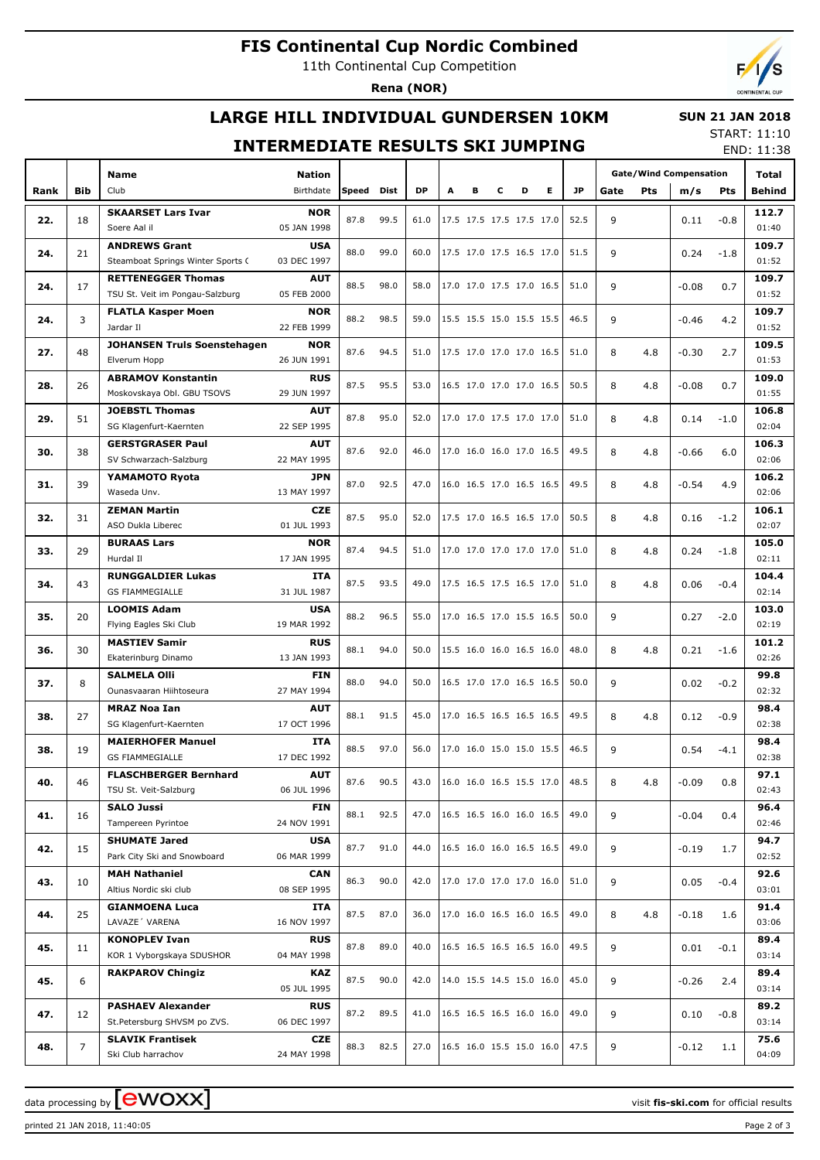## **FIS Continental Cup Nordic Combined**

11th Continental Cup Competition

**Rena (NOR)**

## **LARGE HILL INDIVIDUAL GUNDERSEN 10KM**

#### **SUN 21 JAN 2018**

#### **INTERMEDIATE RESULTS SKI JUMPING**

START: 11:10 END: 11:38

|      |                | <b>Name</b>                        |                           |       |      |           |   |                          |                          |                          |                          |      |          |     | <b>Gate/Wind Compensation</b> |        | Total                                                                                                                                                                                                                                                                                                                 |
|------|----------------|------------------------------------|---------------------------|-------|------|-----------|---|--------------------------|--------------------------|--------------------------|--------------------------|------|----------|-----|-------------------------------|--------|-----------------------------------------------------------------------------------------------------------------------------------------------------------------------------------------------------------------------------------------------------------------------------------------------------------------------|
| Rank | <b>Bib</b>     | Club                               | Birthdate                 | Speed | Dist | <b>DP</b> | A | в                        | с                        | D                        | E.                       | JP.  | Gate     | Pts | m/s                           | Pts    | Behind                                                                                                                                                                                                                                                                                                                |
|      |                | <b>SKAARSET Lars Ivar</b>          | <b>NOR</b>                |       |      |           |   |                          |                          |                          |                          |      |          |     |                               |        | 112.7                                                                                                                                                                                                                                                                                                                 |
| 22.  | 18             | Soere Aal il                       | 05 JAN 1998               | 87.8  | 99.5 | 61.0      |   | 17.5 17.5 17.5 17.5 17.0 |                          |                          |                          | 52.5 | 9        |     | 0.11                          | $-0.8$ | 01:40                                                                                                                                                                                                                                                                                                                 |
|      |                | <b>ANDREWS Grant</b>               | <b>USA</b>                |       |      |           |   |                          |                          |                          |                          |      |          |     |                               |        | 109.7                                                                                                                                                                                                                                                                                                                 |
| 24.  | 21             |                                    | 03 DEC 1997               | 88.0  | 99.0 | 60.0      |   | 17.5 17.0 17.5 16.5 17.0 |                          |                          |                          | 51.5 | 9        |     | 0.24                          | $-1.8$ | 01:52                                                                                                                                                                                                                                                                                                                 |
|      |                | Steamboat Springs Winter Sports C  |                           |       |      |           |   |                          |                          |                          |                          |      |          |     |                               |        |                                                                                                                                                                                                                                                                                                                       |
| 24.  | 17             | <b>RETTENEGGER Thomas</b>          | AUT                       | 88.5  | 98.0 | 58.0      |   | 17.0 17.0 17.5 17.0 16.5 |                          |                          |                          | 51.0 | 9        |     | $-0.08$                       | 0.7    | 109.7                                                                                                                                                                                                                                                                                                                 |
|      |                | TSU St. Veit im Pongau-Salzburg    | 05 FEB 2000               |       |      |           |   |                          |                          |                          |                          |      |          |     |                               |        | 01:52                                                                                                                                                                                                                                                                                                                 |
| 24.  | 3              | <b>FLATLA Kasper Moen</b>          | NOR                       | 88.2  | 98.5 | 59.0      |   | 15.5 15.5 15.0 15.5 15.5 |                          |                          |                          | 46.5 | 9        |     | $-0.46$                       | 4.2    |                                                                                                                                                                                                                                                                                                                       |
|      |                | Jardar II                          | 22 FEB 1999               |       |      |           |   |                          |                          |                          |                          |      |          |     |                               |        |                                                                                                                                                                                                                                                                                                                       |
| 27.  | 48             | <b>JOHANSEN Truls Soenstehagen</b> | NOR                       | 87.6  | 94.5 | 51.0      |   | 17.5 17.0 17.0 17.0 16.5 |                          |                          |                          | 51.0 | 8        | 4.8 | -0.30                         |        |                                                                                                                                                                                                                                                                                                                       |
|      |                | Elverum Hopp                       | 26 JUN 1991               |       |      |           |   |                          |                          |                          |                          |      |          |     |                               |        |                                                                                                                                                                                                                                                                                                                       |
| 28.  | 26             | <b>ABRAMOV Konstantin</b>          | <b>RUS</b>                | 87.5  | 95.5 | 53.0      |   | 16.5 17.0 17.0 17.0 16.5 |                          |                          |                          | 50.5 | 8        | 4.8 | -0.08                         |        | 109.0                                                                                                                                                                                                                                                                                                                 |
|      |                | Moskovskaya Obl. GBU TSOVS         | 29 JUN 1997               |       |      |           |   |                          |                          |                          |                          |      |          |     |                               |        | 01:55                                                                                                                                                                                                                                                                                                                 |
| 29.  | 51             | <b>JOEBSTL Thomas</b>              | AUT                       | 87.8  | 95.0 | 52.0      |   | 17.0 17.0 17.5 17.0 17.0 |                          |                          |                          | 51.0 | 8        | 4.8 | 0.14                          |        | 106.8                                                                                                                                                                                                                                                                                                                 |
|      |                | SG Klagenfurt-Kaernten             | 22 SEP 1995               |       |      |           |   |                          |                          |                          |                          |      |          |     |                               |        | 02:04                                                                                                                                                                                                                                                                                                                 |
| 30.  | 38             | <b>GERSTGRASER Paul</b>            | AUT                       | 87.6  | 92.0 | 46.0      |   | 17.0 16.0 16.0 17.0 16.5 |                          |                          |                          | 49.5 | 8        | 4.8 | -0.66                         |        | 106.3                                                                                                                                                                                                                                                                                                                 |
|      |                | SV Schwarzach-Salzburg             | 22 MAY 1995               |       |      |           |   |                          |                          |                          |                          |      |          |     |                               |        | 02:06                                                                                                                                                                                                                                                                                                                 |
| 31.  | 39             | YAMAMOTO Ryota                     | JPN                       | 87.0  | 92.5 | 47.0      |   | 16.0 16.5 17.0 16.5 16.5 |                          |                          |                          | 49.5 | 8        |     | $-0.54$                       |        | 106.2                                                                                                                                                                                                                                                                                                                 |
|      |                | Waseda Unv.                        | 13 MAY 1997               |       |      |           |   |                          |                          |                          |                          |      |          | 4.8 |                               |        | 02:06                                                                                                                                                                                                                                                                                                                 |
|      |                | <b>ZEMAN Martin</b>                | <b>CZE</b>                | 87.5  | 95.0 |           |   |                          |                          |                          |                          | 50.5 |          |     |                               |        | 109.7<br>01:52<br>109.5<br>2.7<br>01:53<br>0.7<br>$-1.0$<br>6.0<br>4.9<br>106.1<br>$-1.2$<br>02:07<br>105.0<br>$-1.8$<br>02:11<br>104.4<br>$-0.4$<br>02:14<br>103.0<br>$-2.0$<br>02:19<br>101.2<br>$-1.6$<br>02:26<br>99.8<br>02:32<br>98.4<br>02:38<br>98.4<br>02:38<br>97.1<br>0.8<br>02:43<br>96.4<br>0.4<br>02:46 |
| 32.  | 31             | ASO Dukla Liberec                  | 01 JUL 1993               |       |      | 52.0      |   | 17.5 17.0 16.5 16.5 17.0 |                          |                          |                          |      | 8        | 4.8 | 0.16                          |        |                                                                                                                                                                                                                                                                                                                       |
| 33.  |                | <b>BURAAS Lars</b>                 | NOR                       |       |      |           |   |                          |                          |                          |                          |      |          |     |                               |        |                                                                                                                                                                                                                                                                                                                       |
|      | 29             | Hurdal II                          | 17 JAN 1995               | 87.4  | 94.5 | 51.0      |   | 17.0 17.0 17.0 17.0 17.0 |                          |                          |                          | 51.0 | 8        | 4.8 | 0.24                          |        |                                                                                                                                                                                                                                                                                                                       |
| 34.  |                | <b>RUNGGALDIER Lukas</b>           | <b>ITA</b>                | 87.5  |      |           |   |                          |                          |                          |                          |      |          |     |                               |        |                                                                                                                                                                                                                                                                                                                       |
|      | 43             | <b>GS FIAMMEGIALLE</b>             | 31 JUL 1987               |       | 93.5 | 49.0      |   | 17.5 16.5 17.5 16.5 17.0 |                          |                          |                          | 51.0 | 8        | 4.8 | 0.06                          |        |                                                                                                                                                                                                                                                                                                                       |
| 35.  |                | <b>LOOMIS Adam</b>                 | <b>USA</b>                |       |      |           |   |                          |                          |                          |                          |      |          |     |                               |        |                                                                                                                                                                                                                                                                                                                       |
|      | 20             | Flying Eagles Ski Club             | 19 MAR 1992               | 88.2  | 96.5 | 55.0      |   | 17.0 16.5 17.0 15.5 16.5 |                          |                          |                          | 50.0 | 9        |     | 0.27                          |        |                                                                                                                                                                                                                                                                                                                       |
|      |                | <b>MASTIEV Samir</b>               | <b>RUS</b>                |       |      |           |   |                          |                          |                          |                          |      |          |     |                               |        |                                                                                                                                                                                                                                                                                                                       |
| 36.  | 30             | Ekaterinburg Dinamo                | 13 JAN 1993               | 88.1  | 94.0 | 50.0      |   |                          | 15.5 16.0 16.0 16.5 16.0 |                          |                          | 48.0 | 8        | 4.8 | 0.21                          |        |                                                                                                                                                                                                                                                                                                                       |
|      |                | <b>SALMELA Olli</b>                | <b>FIN</b>                |       |      |           |   |                          |                          |                          |                          |      |          |     | 0.02                          | $-0.2$ |                                                                                                                                                                                                                                                                                                                       |
| 37.  | 8              | Ounasvaaran Hiihtoseura            | 27 MAY 1994               | 88.0  | 94.0 | 50.0      |   |                          |                          | 16.5 17.0 17.0 16.5 16.5 |                          | 50.0 | 9        |     |                               |        |                                                                                                                                                                                                                                                                                                                       |
|      |                | <b>MRAZ Noa Ian</b>                | AUT                       |       |      |           |   |                          |                          |                          |                          |      |          |     |                               |        |                                                                                                                                                                                                                                                                                                                       |
| 38.  | 27             | SG Klagenfurt-Kaernten             | 17 OCT 1996               | 88.1  | 91.5 | 45.0      |   |                          |                          |                          | 17.0 16.5 16.5 16.5 16.5 | 49.5 | 8<br>4.8 |     | 0.12                          | $-0.9$ |                                                                                                                                                                                                                                                                                                                       |
|      |                | <b>MAIERHOFER Manuel</b>           | <b>ITA</b>                |       |      |           |   |                          |                          |                          |                          |      |          |     |                               |        |                                                                                                                                                                                                                                                                                                                       |
| 38.  | 19             | <b>GS FIAMMEGIALLE</b>             | 17 DEC 1992               | 88.5  | 97.0 | 56.0      |   | 17.0 16.0 15.0 15.0 15.5 |                          |                          |                          | 46.5 | 9        |     | 0.54                          | $-4.1$ |                                                                                                                                                                                                                                                                                                                       |
|      |                | <b>FLASCHBERGER Bernhard</b>       | <b>AUT</b>                |       |      |           |   |                          |                          |                          |                          |      |          |     |                               |        |                                                                                                                                                                                                                                                                                                                       |
| 40.  | 46             | TSU St. Veit-Salzburg              | 06 JUL 1996               | 87.6  | 90.5 | 43.0      |   | 16.0 16.0 16.5 15.5 17.0 |                          |                          |                          | 48.5 | 8        | 4.8 | $-0.09$                       |        |                                                                                                                                                                                                                                                                                                                       |
|      |                | <b>SALO Jussi</b>                  | FIN                       |       |      |           |   |                          |                          |                          |                          |      |          |     |                               |        |                                                                                                                                                                                                                                                                                                                       |
| 41.  | 16             | Tampereen Pyrintoe                 | 24 NOV 1991               | 88.1  | 92.5 | 47.0      |   | 16.5 16.5 16.0 16.0 16.5 |                          |                          |                          | 49.0 | 9        |     | $-0.04$                       |        |                                                                                                                                                                                                                                                                                                                       |
|      |                | <b>SHUMATE Jared</b>               | <b>USA</b>                |       |      |           |   |                          |                          |                          |                          |      |          |     |                               |        | 94.7                                                                                                                                                                                                                                                                                                                  |
| 42.  | 15             | Park City Ski and Snowboard        | 06 MAR 1999               | 87.7  | 91.0 | 44.0      |   | 16.5 16.0 16.0 16.5 16.5 |                          |                          |                          | 49.0 | 9        |     | $-0.19$                       | 1.7    | 02:52                                                                                                                                                                                                                                                                                                                 |
|      |                | <b>MAH Nathaniel</b>               | <b>CAN</b>                |       |      |           |   |                          |                          |                          |                          |      |          |     |                               |        | 92.6                                                                                                                                                                                                                                                                                                                  |
| 43.  | 10             | Altius Nordic ski club             | 08 SEP 1995               | 86.3  | 90.0 | 42.0      |   | 17.0 17.0 17.0 17.0 16.0 |                          |                          |                          | 51.0 | 9        |     | 0.05                          | $-0.4$ | 03:01                                                                                                                                                                                                                                                                                                                 |
|      |                | <b>GIANMOENA Luca</b>              | ITA                       |       |      |           |   |                          |                          |                          |                          |      |          |     |                               |        | 91.4                                                                                                                                                                                                                                                                                                                  |
| 44.  | 25             | LAVAZE' VARENA                     | 16 NOV 1997               | 87.5  | 87.0 | 36.0      |   | 17.0 16.0 16.5 16.0 16.5 |                          |                          |                          | 49.0 | 8        | 4.8 | $-0.18$                       | 1.6    | 03:06                                                                                                                                                                                                                                                                                                                 |
|      |                | <b>KONOPLEV Ivan</b>               | <b>RUS</b>                |       |      |           |   |                          |                          |                          |                          |      |          |     |                               |        | 89.4                                                                                                                                                                                                                                                                                                                  |
| 45.  | 11             | KOR 1 Vyborgskaya SDUSHOR          | 04 MAY 1998               | 87.8  | 89.0 | 40.0      |   | 16.5 16.5 16.5 16.5 16.0 |                          |                          |                          | 49.5 | 9        |     | 0.01                          | $-0.1$ | 03:14                                                                                                                                                                                                                                                                                                                 |
|      |                | <b>RAKPAROV Chingiz</b>            | KAZ                       |       |      |           |   |                          |                          |                          |                          |      |          |     |                               |        | 89.4                                                                                                                                                                                                                                                                                                                  |
| 45.  | 6              |                                    | 05 JUL 1995               | 87.5  | 90.0 | 42.0      |   |                          |                          |                          | 14.0 15.5 14.5 15.0 16.0 | 45.0 | 9        |     | $-0.26$                       | 2.4    | 03:14                                                                                                                                                                                                                                                                                                                 |
|      |                | <b>PASHAEV Alexander</b>           |                           |       |      |           |   |                          |                          |                          |                          |      |          |     |                               |        |                                                                                                                                                                                                                                                                                                                       |
| 47.  | 12             | St.Petersburg SHVSM po ZVS.        | <b>RUS</b><br>06 DEC 1997 | 87.2  | 89.5 | 41.0      |   |                          |                          |                          | 16.5 16.5 16.5 16.0 16.0 | 49.0 | 9        |     | 0.10                          | $-0.8$ | 89.2<br>03:14                                                                                                                                                                                                                                                                                                         |
|      |                | <b>SLAVIK Frantisek</b>            |                           |       |      |           |   |                          |                          |                          |                          |      |          |     |                               |        | 75.6                                                                                                                                                                                                                                                                                                                  |
| 48.  | $\overline{7}$ | Ski Club harrachov                 | CZE<br>24 MAY 1998        | 88.3  | 82.5 | 27.0      |   | 16.5 16.0 15.5 15.0 16.0 |                          |                          |                          | 47.5 | 9        |     | -0.12                         | 1.1    | 04:09                                                                                                                                                                                                                                                                                                                 |
|      |                |                                    |                           |       |      |           |   |                          |                          |                          |                          |      |          |     |                               |        |                                                                                                                                                                                                                                                                                                                       |

printed 21 JAN 2018, 11:40:05 Page 2 of 3

data processing by **CWOXX** and  $\overline{A}$  wisit **fis-ski.com** for official results